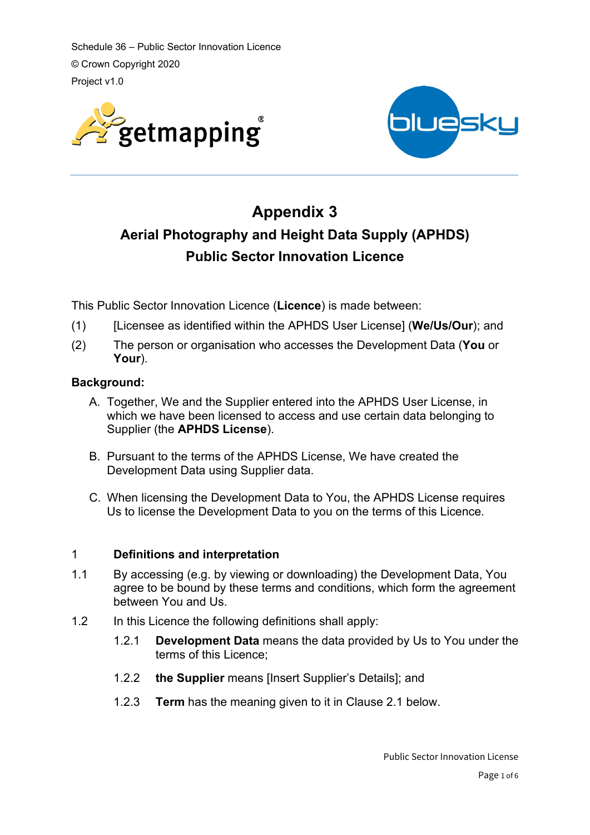



# **Appendix 3 Aerial Photography and Height Data Supply (APHDS) Public Sector Innovation Licence**

This Public Sector Innovation Licence (**Licence**) is made between:

- (1) [Licensee as identified within the APHDS User License] (**We/Us/Our**); and
- (2) The person or organisation who accesses the Development Data (**You** or **Your**).

# **Background:**

- A. Together, We and the Supplier entered into the APHDS User License, in which we have been licensed to access and use certain data belonging to Supplier (the **APHDS License**).
- B. Pursuant to the terms of the APHDS License, We have created the Development Data using Supplier data.
- C. When licensing the Development Data to You, the APHDS License requires Us to license the Development Data to you on the terms of this Licence.

# 1 **Definitions and interpretation**

- 1.1 By accessing (e.g. by viewing or downloading) the Development Data, You agree to be bound by these terms and conditions, which form the agreement between You and Us.
- 1.2 In this Licence the following definitions shall apply:
	- 1.2.1 **Development Data** means the data provided by Us to You under the terms of this Licence;
	- 1.2.2 **the Supplier** means [Insert Supplier's Details]; and
	- 1.2.3 **Term** has the meaning given to it in Clause 2.1 below.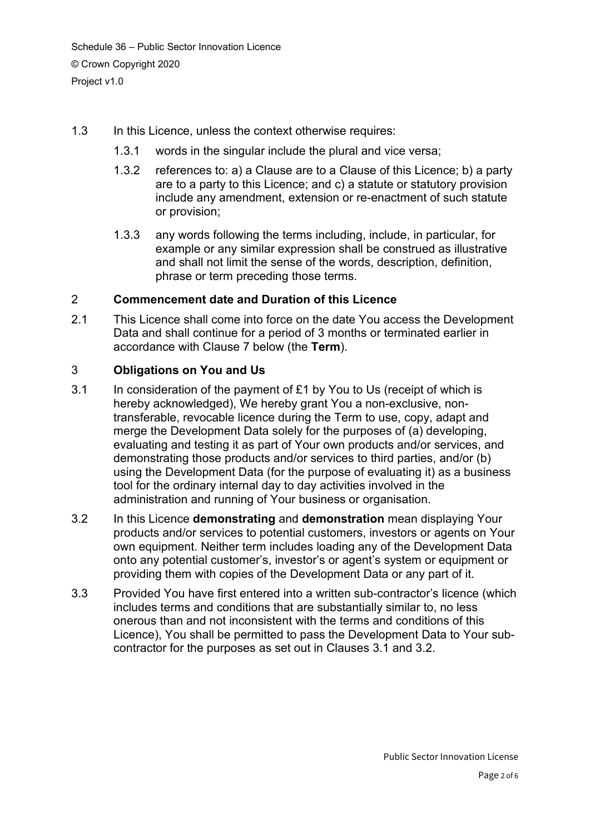- 1.3 In this Licence, unless the context otherwise requires:
	- 1.3.1 words in the singular include the plural and vice versa;
	- 1.3.2 references to: a) a Clause are to a Clause of this Licence; b) a party are to a party to this Licence; and c) a statute or statutory provision include any amendment, extension or re-enactment of such statute or provision;
	- 1.3.3 any words following the terms including, include, in particular, for example or any similar expression shall be construed as illustrative and shall not limit the sense of the words, description, definition, phrase or term preceding those terms.

# 2 **Commencement date and Duration of this Licence**

2.1 This Licence shall come into force on the date You access the Development Data and shall continue for a period of 3 months or terminated earlier in accordance with Clause 7 below (the **Term**).

# 3 **Obligations on You and Us**

- 3.1 In consideration of the payment of £1 by You to Us (receipt of which is hereby acknowledged), We hereby grant You a non-exclusive, nontransferable, revocable licence during the Term to use, copy, adapt and merge the Development Data solely for the purposes of (a) developing, evaluating and testing it as part of Your own products and/or services, and demonstrating those products and/or services to third parties, and/or (b) using the Development Data (for the purpose of evaluating it) as a business tool for the ordinary internal day to day activities involved in the administration and running of Your business or organisation.
- 3.2 In this Licence **demonstrating** and **demonstration** mean displaying Your products and/or services to potential customers, investors or agents on Your own equipment. Neither term includes loading any of the Development Data onto any potential customer's, investor's or agent's system or equipment or providing them with copies of the Development Data or any part of it.
- 3.3 Provided You have first entered into a written sub-contractor's licence (which includes terms and conditions that are substantially similar to, no less onerous than and not inconsistent with the terms and conditions of this Licence), You shall be permitted to pass the Development Data to Your subcontractor for the purposes as set out in Clauses 3.1 and 3.2.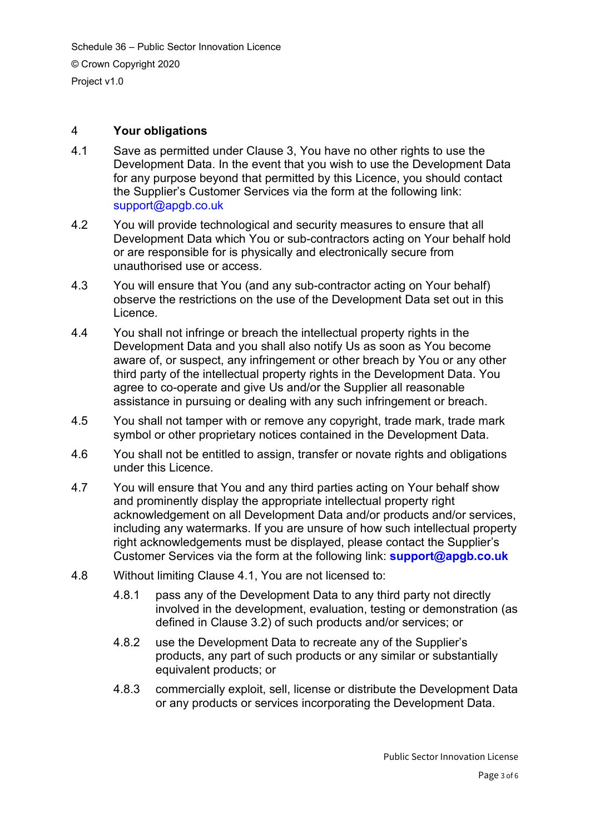# 4 **Your obligations**

- 4.1 Save as permitted under Clause 3, You have no other rights to use the Development Data. In the event that you wish to use the Development Data for any purpose beyond that permitted by this Licence, you should contact the Supplier's Customer Services via the form at the following link: [support@apgb.co.uk](mailto:support@apgb.co.uk)
- 4.2 You will provide technological and security measures to ensure that all Development Data which You or sub-contractors acting on Your behalf hold or are responsible for is physically and electronically secure from unauthorised use or access.
- 4.3 You will ensure that You (and any sub-contractor acting on Your behalf) observe the restrictions on the use of the Development Data set out in this Licence.
- 4.4 You shall not infringe or breach the intellectual property rights in the Development Data and you shall also notify Us as soon as You become aware of, or suspect, any infringement or other breach by You or any other third party of the intellectual property rights in the Development Data. You agree to co-operate and give Us and/or the Supplier all reasonable assistance in pursuing or dealing with any such infringement or breach.
- 4.5 You shall not tamper with or remove any copyright, trade mark, trade mark symbol or other proprietary notices contained in the Development Data.
- 4.6 You shall not be entitled to assign, transfer or novate rights and obligations under this Licence.
- 4.7 You will ensure that You and any third parties acting on Your behalf show and prominently display the appropriate intellectual property right acknowledgement on all Development Data and/or products and/or services, including any watermarks. If you are unsure of how such intellectual property right acknowledgements must be displayed, please contact the Supplier's Customer Services via the form at the following link: **[support@apgb.co.uk](mailto:support@apgb.co.uk)**
- 4.8 Without limiting Clause 4.1, You are not licensed to:
	- 4.8.1 pass any of the Development Data to any third party not directly involved in the development, evaluation, testing or demonstration (as defined in Clause 3.2) of such products and/or services; or
	- 4.8.2 use the Development Data to recreate any of the Supplier's products, any part of such products or any similar or substantially equivalent products; or
	- 4.8.3 commercially exploit, sell, license or distribute the Development Data or any products or services incorporating the Development Data.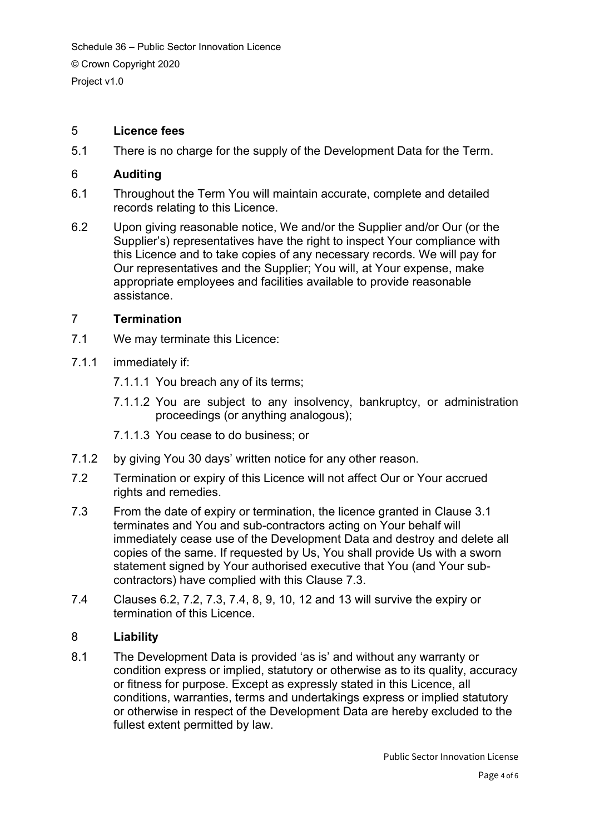## 5 **Licence fees**

5.1 There is no charge for the supply of the Development Data for the Term.

#### 6 **Auditing**

- 6.1 Throughout the Term You will maintain accurate, complete and detailed records relating to this Licence.
- 6.2 Upon giving reasonable notice, We and/or the Supplier and/or Our (or the Supplier's) representatives have the right to inspect Your compliance with this Licence and to take copies of any necessary records. We will pay for Our representatives and the Supplier; You will, at Your expense, make appropriate employees and facilities available to provide reasonable assistance.

## 7 **Termination**

- 7.1 We may terminate this Licence:
- 7.1.1 immediately if:
	- 7.1.1.1 You breach any of its terms;
	- 7.1.1.2 You are subject to any insolvency, bankruptcy, or administration proceedings (or anything analogous);
	- 7.1.1.3 You cease to do business; or
- 7.1.2 by giving You 30 days' written notice for any other reason.
- 7.2 Termination or expiry of this Licence will not affect Our or Your accrued rights and remedies.
- 7.3 From the date of expiry or termination, the licence granted in Clause 3.1 terminates and You and sub-contractors acting on Your behalf will immediately cease use of the Development Data and destroy and delete all copies of the same. If requested by Us, You shall provide Us with a sworn statement signed by Your authorised executive that You (and Your subcontractors) have complied with this Clause 7.3.
- 7.4 Clauses 6.2, 7.2, 7.3, 7.4, 8, 9, 10, 12 and 13 will survive the expiry or termination of this Licence.

#### 8 **Liability**

8.1 The Development Data is provided 'as is' and without any warranty or condition express or implied, statutory or otherwise as to its quality, accuracy or fitness for purpose. Except as expressly stated in this Licence, all conditions, warranties, terms and undertakings express or implied statutory or otherwise in respect of the Development Data are hereby excluded to the fullest extent permitted by law.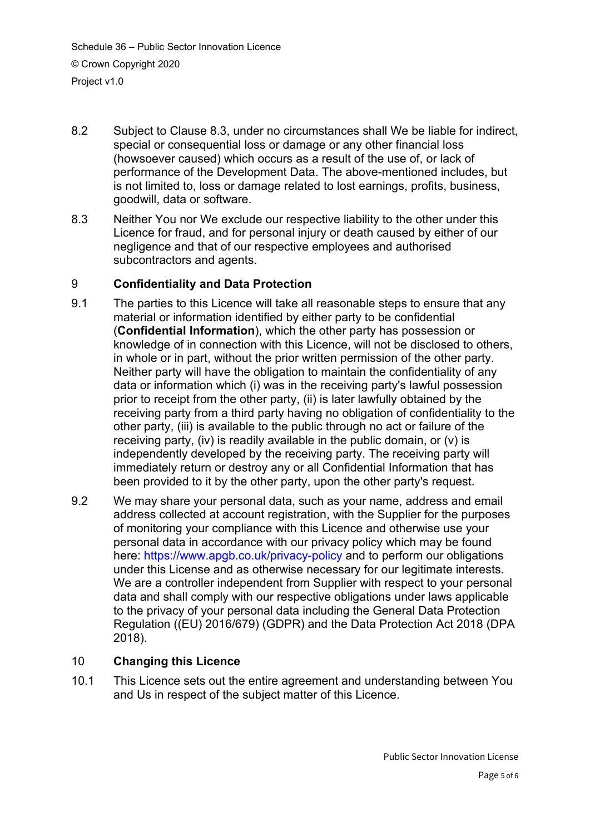- 8.2 Subject to Clause 8.3, under no circumstances shall We be liable for indirect, special or consequential loss or damage or any other financial loss (howsoever caused) which occurs as a result of the use of, or lack of performance of the Development Data. The above-mentioned includes, but is not limited to, loss or damage related to lost earnings, profits, business, goodwill, data or software.
- 8.3 Neither You nor We exclude our respective liability to the other under this Licence for fraud, and for personal injury or death caused by either of our negligence and that of our respective employees and authorised subcontractors and agents.

# 9 **Confidentiality and Data Protection**

- 9.1 The parties to this Licence will take all reasonable steps to ensure that any material or information identified by either party to be confidential (**Confidential Information**), which the other party has possession or knowledge of in connection with this Licence, will not be disclosed to others, in whole or in part, without the prior written permission of the other party. Neither party will have the obligation to maintain the confidentiality of any data or information which (i) was in the receiving party's lawful possession prior to receipt from the other party, (ii) is later lawfully obtained by the receiving party from a third party having no obligation of confidentiality to the other party, (iii) is available to the public through no act or failure of the receiving party, (iv) is readily available in the public domain, or (v) is independently developed by the receiving party. The receiving party will immediately return or destroy any or all Confidential Information that has been provided to it by the other party, upon the other party's request.
- 9.2 We may share your personal data, such as your name, address and email address collected at account registration, with the Supplier for the purposes of monitoring your compliance with this Licence and otherwise use your personal data in accordance with our privacy policy which may be found here:<https://www.apgb.co.uk/privacy-policy> and to perform our obligations under this License and as otherwise necessary for our legitimate interests. We are a controller independent from Supplier with respect to your personal data and shall comply with our respective obligations under laws applicable to the privacy of your personal data including the General Data Protection Regulation ((EU) 2016/679) (GDPR) and the Data Protection Act 2018 (DPA 2018).

# 10 **Changing this Licence**

10.1 This Licence sets out the entire agreement and understanding between You and Us in respect of the subject matter of this Licence.